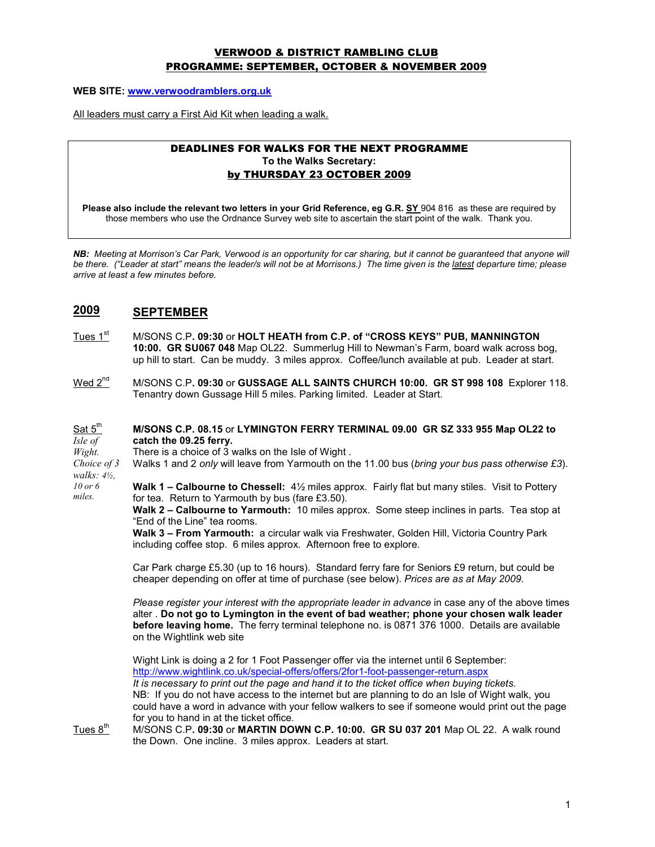### VERWOOD & DISTRICT RAMBLING CLUB PROGRAMME: SEPTEMBER, OCTOBER & NOVEMBER 2009

WEB SITE: www.verwoodramblers.org.uk

All leaders must carry a First Aid Kit when leading a walk.

#### DEADLINES FOR WALKS FOR THE NEXT PROGRAMME To the Walks Secretary: by THURSDAY 23 OCTOBER 2009

Please also include the relevant two letters in your Grid Reference, eg G.R. SY 904 816 as these are required by those members who use the Ordnance Survey web site to ascertain the start point of the walk. Thank you.

NB: Meeting at Morrison's Car Park, Verwood is an opportunity for car sharing, but it cannot be guaranteed that anyone will be there. ("Leader at start" means the leader/s will not be at Morrisons.) The time given is the latest departure time; please arrive at least a few minutes before.

## 2009 SEPTEMBER

- Tues 1<sup>st</sup> M/SONS C.P. 09:30 or HOLT HEATH from C.P. of "CROSS KEYS" PUB, MANNINGTON 10:00. GR SU067 048 Map OL22. Summerlug Hill to Newman's Farm, board walk across bog, up hill to start. Can be muddy. 3 miles approx. Coffee/lunch available at pub. Leader at start.
- $Wed 2<sup>nd</sup>$  M/SONS C.P. 09:30 or GUSSAGE ALL SAINTS CHURCH 10:00. GR ST 998 108 Explorer 118.</u> Tenantry down Gussage Hill 5 miles. Parking limited. Leader at Start.

#### Sat 5<sup>th</sup> Isle of M/SONS C.P. 08.15 or LYMINGTON FERRY TERMINAL 09.00 GR SZ 333 955 Map OL22 to catch the 09.25 ferry.

Wight. There is a choice of 3 walks on the Isle of Wight .

Choice of 3 walks: 4½, Walks 1 and 2 only will leave from Yarmouth on the 11.00 bus (bring your bus pass otherwise £3).

10 or 6 miles.

Walk 1 – Calbourne to Chessell:  $4\frac{1}{2}$  miles approx. Fairly flat but many stiles. Visit to Pottery for tea. Return to Yarmouth by bus (fare £3.50).

Walk 2 – Calbourne to Yarmouth: 10 miles approx. Some steep inclines in parts. Tea stop at "End of the Line" tea rooms.

Walk 3 - From Yarmouth: a circular walk via Freshwater, Golden Hill, Victoria Country Park including coffee stop. 6 miles approx. Afternoon free to explore.

Car Park charge £5.30 (up to 16 hours). Standard ferry fare for Seniors £9 return, but could be cheaper depending on offer at time of purchase (see below). Prices are as at May 2009.

Please register your interest with the appropriate leader in advance in case any of the above times alter . Do not go to Lymington in the event of bad weather; phone your chosen walk leader before leaving home. The ferry terminal telephone no. is 0871 376 1000. Details are available on the Wightlink web site

Wight Link is doing a 2 for 1 Foot Passenger offer via the internet until 6 September: http://www.wightlink.co.uk/special-offers/offers/2for1-foot-passenger-return.aspx It is necessary to print out the page and hand it to the ticket office when buying tickets. NB: If you do not have access to the internet but are planning to do an Isle of Wight walk, you could have a word in advance with your fellow walkers to see if someone would print out the page for you to hand in at the ticket office.

Tues  $8<sup>th</sup>$  M/SONS C.P. 09:30 or MARTIN DOWN C.P. 10:00. GR SU 037 201 Map OL 22. A walk round the Down. One incline. 3 miles approx. Leaders at start.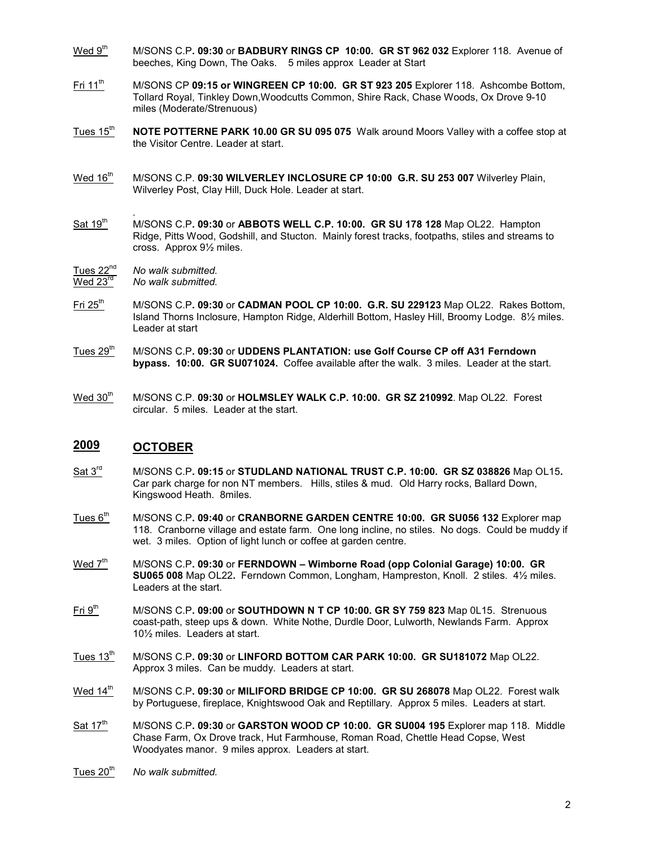- Wed 9<sup>th</sup> M/SONS C.P. 09:30 or BADBURY RINGS CP 10:00. GR ST 962 032 Explorer 118. Avenue of beeches, King Down, The Oaks. 5 miles approx Leader at Start
- Fri 11<sup>th</sup> M/SONS CP 09:15 or WINGREEN CP 10:00. GR ST 923 205 Explorer 118. Ashcombe Bottom, Tollard Royal, Tinkley Down,Woodcutts Common, Shire Rack, Chase Woods, Ox Drove 9-10 miles (Moderate/Strenuous)
- Tues 15<sup>th</sup> NOTE POTTERNE PARK 10.00 GR SU 095 075 Walk around Moors Valley with a coffee stop at the Visitor Centre. Leader at start.
- Wed 16<sup>th</sup> M/SONS C.P. 09:30 WILVERLEY INCLOSURE CP 10:00 G.R. SU 253 007 Wilverley Plain, Wilverley Post, Clay Hill, Duck Hole. Leader at start.
- .  $Sat 19<sup>th</sup>$  M/SONS C.P. 09:30 or ABBOTS WELL C.P. 10:00. GR SU 178 128 Map OL22. Hampton Ridge, Pitts Wood, Godshill, and Stucton. Mainly forest tracks, footpaths, stiles and streams to cross. Approx 9½ miles.
- $\frac{\text{Tues } 22^{\text{nd}}}{\text{Wed } 23^{\text{rd}}}$  No walk submitted.
- No walk submitted.
- Fri  $25<sup>th</sup>$  M/SONS C.P. 09:30 or CADMAN POOL CP 10:00. G.R. SU 229123 Map OL22. Rakes Bottom, Island Thorns Inclosure, Hampton Ridge, Alderhill Bottom, Hasley Hill, Broomy Lodge. 8½ miles. Leader at start
- Tues 29<sup>th</sup> M/SONS C.P. 09:30 or UDDENS PLANTATION: use Golf Course CP off A31 Ferndown bypass. 10:00. GR SU071024. Coffee available after the walk. 3 miles. Leader at the start.
- Wed 30<sup>th</sup> M/SONS C.P. 09:30 or HOLMSLEY WALK C.P. 10:00. GR SZ 210992. Map OL22. Forest circular. 5 miles. Leader at the start.

## 2009 OCTOBER

- Sat  $3<sup>rd</sup>$  M/SONS C.P. 09:15 or STUDLAND NATIONAL TRUST C.P. 10:00. GR SZ 038826 Map OL15. Car park charge for non NT members. Hills, stiles & mud. Old Harry rocks, Ballard Down, Kingswood Heath. 8miles.
- Tues 6<sup>th</sup> M/SONS C.P. 09:40 or CRANBORNE GARDEN CENTRE 10:00. GR SU056 132 Explorer map 118. Cranborne village and estate farm. One long incline, no stiles. No dogs. Could be muddy if wet. 3 miles. Option of light lunch or coffee at garden centre.
- $Wed 7<sup>th</sup>$  M/SONS C.P. 09:30 or FERNDOWN Wimborne Road (opp Colonial Garage) 10:00. GR</u> SU065 008 Map OL22. Ferndown Common, Longham, Hampreston, Knoll. 2 stiles. 4½ miles. Leaders at the start.
- Fri 9<sup>th</sup> M/SONS C.P. 09:00 or SOUTHDOWN N T CP 10:00. GR SY 759 823 Map 0L15. Strenuous coast-path, steep ups & down. White Nothe, Durdle Door, Lulworth, Newlands Farm. Approx 10½ miles. Leaders at start.
- $Tues$  13<sup>th</sup> M/SONS C.P. 09:30 or LINFORD BOTTOM CAR PARK 10:00. GR SU181072 Map OL22. Approx 3 miles. Can be muddy. Leaders at start.
- Wed 14<sup>th</sup> M/SONS C.P. 09:30 or MILIFORD BRIDGE CP 10:00. GR SU 268078 Map OL22. Forest walk by Portuguese, fireplace, Knightswood Oak and Reptillary. Approx 5 miles. Leaders at start.
- Sat 17<sup>th</sup> M/SONS C.P. 09:30 or GARSTON WOOD CP 10:00. GR SU004 195 Explorer map 118. Middle Chase Farm, Ox Drove track, Hut Farmhouse, Roman Road, Chettle Head Copse, West Woodyates manor. 9 miles approx. Leaders at start.
- Tues  $20<sup>th</sup>$  No walk submitted.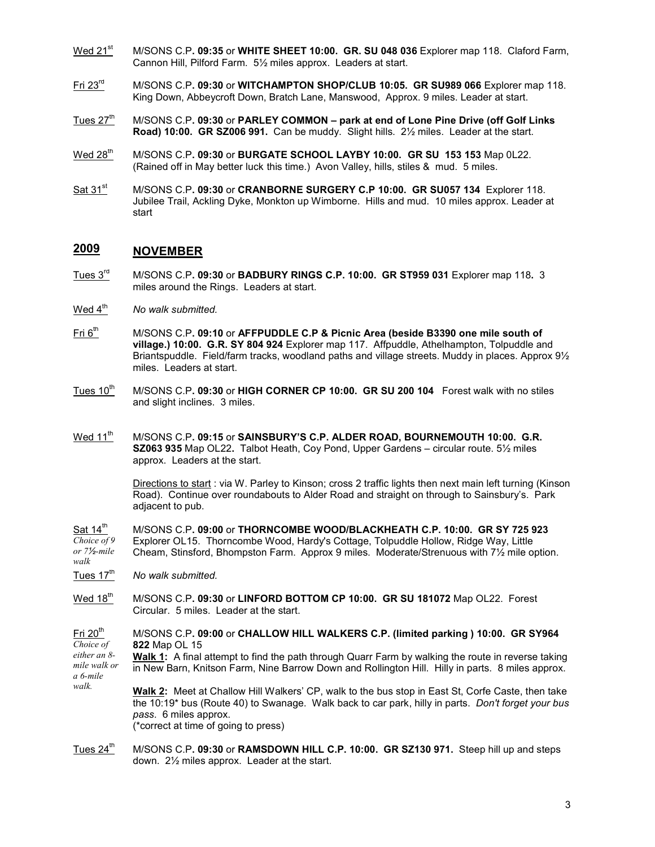- Wed 21<sup>st</sup> M/SONS C.P. 09:35 or WHITE SHEET 10:00. GR. SU 048 036 Explorer map 118. Claford Farm, Cannon Hill, Pilford Farm. 5½ miles approx. Leaders at start.
- Fri  $23<sup>rd</sup>$  M/SONS C.P. 09:30 or WITCHAMPTON SHOP/CLUB 10:05. GR SU989 066 Explorer map 118. King Down, Abbeycroft Down, Bratch Lane, Manswood, Approx. 9 miles. Leader at start.
- Tues  $27<sup>th</sup>$  M/SONS C.P. 09:30 or PARLEY COMMON park at end of Lone Pine Drive (off Golf Links Road) 10:00. GR SZ006 991. Can be muddy. Slight hills. 2½ miles. Leader at the start.
- Wed 28<sup>th</sup> M/SONS C.P. 09:30 or BURGATE SCHOOL LAYBY 10:00. GR SU 153 153 Map 0L22. (Rained off in May better luck this time.) Avon Valley, hills, stiles & mud. 5 miles.
- Sat 31<sup>st</sup> M/SONS C.P. 09:30 or CRANBORNE SURGERY C.P 10:00. GR SU057 134 Explorer 118. Jubilee Trail, Ackling Dyke, Monkton up Wimborne. Hills and mud. 10 miles approx. Leader at start

### 2009 NOVEMBER

- Tues 3<sup>rd</sup> M/SONS C.P. 09:30 or BADBURY RINGS C.P. 10:00. GR ST959 031 Explorer map 118. 3 miles around the Rings. Leaders at start.
- Wed  $4<sup>th</sup>$  No walk submitted.
- Fri  $6<sup>th</sup>$  M/SONS C.P. 09:10 or AFFPUDDLE C.P & Picnic Area (beside B3390 one mile south of village.) 10:00. G.R. SY 804 924 Explorer map 117. Affpuddle, Athelhampton, Tolpuddle and Briantspuddle. Field/farm tracks, woodland paths and village streets. Muddy in places. Approx 9½ miles. Leaders at start.
- Tues  $10^{th}$  M/SONS C.P. 09:30 or HIGH CORNER CP 10:00. GR SU 200 104 Forest walk with no stiles and slight inclines. 3 miles.
- Wed 11<sup>th</sup> M/SONS C.P. 09:15 or SAINSBURY'S C.P. ALDER ROAD, BOURNEMOUTH 10:00. G.R. SZ063 935 Map OL22. Talbot Heath, Coy Pond, Upper Gardens – circular route. 5½ miles approx. Leaders at the start.

Directions to start : via W. Parley to Kinson; cross 2 traffic lights then next main left turning (Kinson Road). Continue over roundabouts to Alder Road and straight on through to Sainsbury's. Park adjacent to pub.

Sat  $14^{\text{th}}$ Choice of 9 or 7½-mile walk M/SONS C.P. 09:00 or THORNCOMBE WOOD/BLACKHEATH C.P. 10:00. GR SY 725 923 Explorer OL15. Thorncombe Wood, Hardy's Cottage, Tolpuddle Hollow, Ridge Way, Little Cheam, Stinsford, Bhompston Farm. Approx 9 miles. Moderate/Strenuous with 7½ mile option.

Tues  $17<sup>th</sup>$  No walk submitted.

walk.

Wed 18<sup>th</sup> M/SONS C.P. 09:30 or LINFORD BOTTOM CP 10:00. GR SU 181072 Map OL22. Forest Circular. 5 miles. Leader at the start.

Fri  $20<sup>th</sup>$ Choice of M/SONS C.P. 09:00 or CHALLOW HILL WALKERS C.P. (limited parking ) 10:00. GR SY964 822 Map OL 15

either an 8 mile walk or a 6-mile Walk 1: A final attempt to find the path through Quarr Farm by walking the route in reverse taking in New Barn, Knitson Farm, Nine Barrow Down and Rollington Hill. Hilly in parts. 8 miles approx.

Walk 2: Meet at Challow Hill Walkers' CP, walk to the bus stop in East St, Corfe Caste, then take the 10:19\* bus (Route 40) to Swanage. Walk back to car park, hilly in parts. Don't forget your bus pass. 6 miles approx.

(\*correct at time of going to press)

Tues  $24^{\text{th}}$  M/SONS C.P. 09:30 or RAMSDOWN HILL C.P. 10:00. GR SZ130 971. Steep hill up and steps down. 2½ miles approx. Leader at the start.